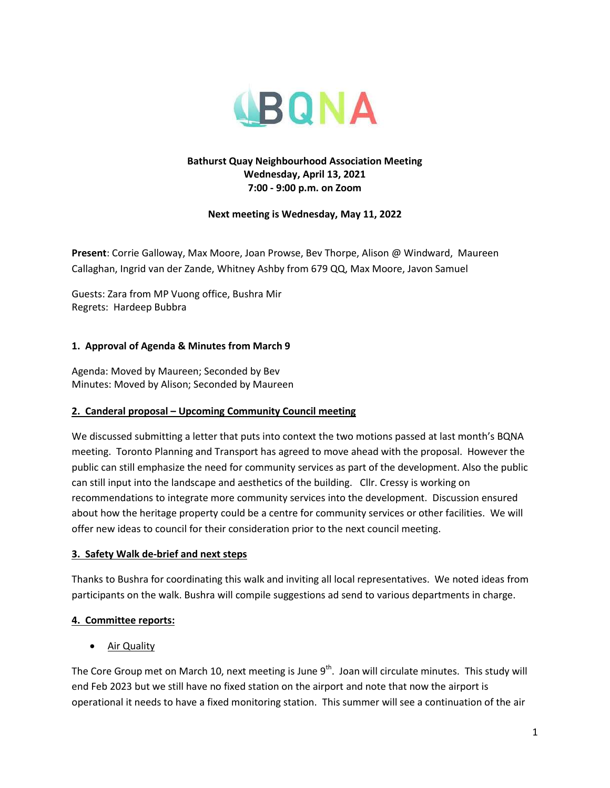

## **Bathurst Quay Neighbourhood Association Meeting Wednesday, April 13, 2021 7:00 - 9:00 p.m. on Zoom**

### **Next meeting is Wednesday, May 11, 2022**

**Present**: Corrie Galloway, Max Moore, Joan Prowse, Bev Thorpe, Alison @ Windward, Maureen Callaghan, Ingrid van der Zande, Whitney Ashby from 679 QQ, Max Moore, Javon Samuel

Guests: Zara from MP Vuong office, Bushra Mir Regrets: Hardeep Bubbra

### **1. Approval of Agenda & Minutes from March 9**

Agenda: Moved by Maureen; Seconded by Bev Minutes: Moved by Alison; Seconded by Maureen

#### **2. Canderal proposal – Upcoming Community Council meeting**

We discussed submitting a letter that puts into context the two motions passed at last month's BQNA meeting. Toronto Planning and Transport has agreed to move ahead with the proposal. However the public can still emphasize the need for community services as part of the development. Also the public can still input into the landscape and aesthetics of the building. Cllr. Cressy is working on recommendations to integrate more community services into the development. Discussion ensured about how the heritage property could be a centre for community services or other facilities. We will offer new ideas to council for their consideration prior to the next council meeting.

#### **3. Safety Walk de-brief and next steps**

Thanks to Bushra for coordinating this walk and inviting all local representatives. We noted ideas from participants on the walk. Bushra will compile suggestions ad send to various departments in charge.

## **4. Committee reports:**

Air Quality

The Core Group met on March 10, next meeting is June  $9<sup>th</sup>$ . Joan will circulate minutes. This study will end Feb 2023 but we still have no fixed station on the airport and note that now the airport is operational it needs to have a fixed monitoring station. This summer will see a continuation of the air